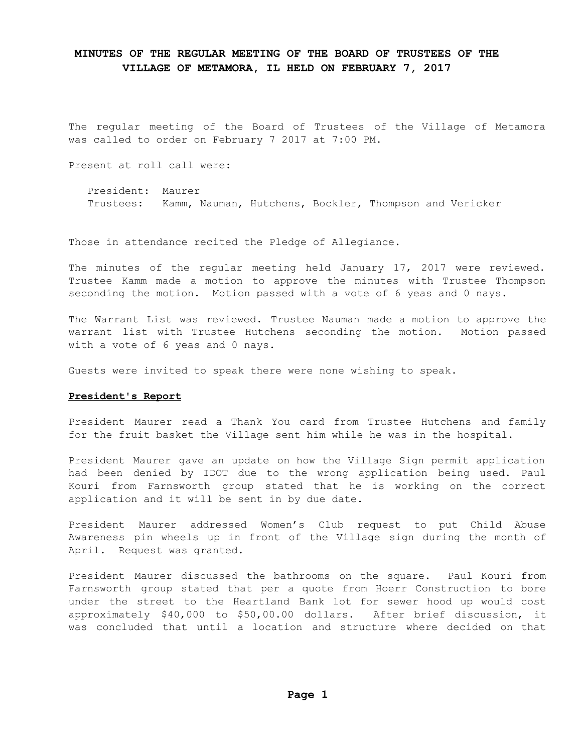The regular meeting of the Board of Trustees of the Village of Metamora was called to order on February 7 2017 at 7:00 PM.

Present at roll call were:

 President: Maurer Trustees: Kamm, Nauman, Hutchens, Bockler, Thompson and Vericker

Those in attendance recited the Pledge of Allegiance.

The minutes of the regular meeting held January 17, 2017 were reviewed. Trustee Kamm made a motion to approve the minutes with Trustee Thompson seconding the motion. Motion passed with a vote of 6 yeas and 0 nays.

The Warrant List was reviewed. Trustee Nauman made a motion to approve the warrant list with Trustee Hutchens seconding the motion. Motion passed with a vote of 6 yeas and 0 nays.

Guests were invited to speak there were none wishing to speak.

#### **President's Report**

President Maurer read a Thank You card from Trustee Hutchens and family for the fruit basket the Village sent him while he was in the hospital.

President Maurer gave an update on how the Village Sign permit application had been denied by IDOT due to the wrong application being used. Paul Kouri from Farnsworth group stated that he is working on the correct application and it will be sent in by due date.

President Maurer addressed Women's Club request to put Child Abuse Awareness pin wheels up in front of the Village sign during the month of April. Request was granted.

President Maurer discussed the bathrooms on the square. Paul Kouri from Farnsworth group stated that per a quote from Hoerr Construction to bore under the street to the Heartland Bank lot for sewer hood up would cost approximately \$40,000 to \$50,00.00 dollars. After brief discussion, it was concluded that until a location and structure where decided on that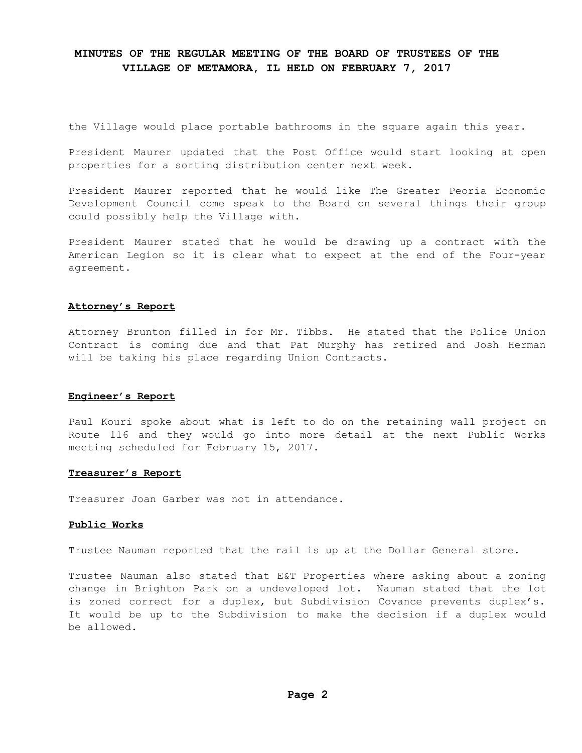the Village would place portable bathrooms in the square again this year.

President Maurer updated that the Post Office would start looking at open properties for a sorting distribution center next week.

President Maurer reported that he would like The Greater Peoria Economic Development Council come speak to the Board on several things their group could possibly help the Village with.

President Maurer stated that he would be drawing up a contract with the American Legion so it is clear what to expect at the end of the Four-year agreement.

#### **Attorney's Report**

Attorney Brunton filled in for Mr. Tibbs. He stated that the Police Union Contract is coming due and that Pat Murphy has retired and Josh Herman will be taking his place regarding Union Contracts.

#### **Engineer's Report**

Paul Kouri spoke about what is left to do on the retaining wall project on Route 116 and they would go into more detail at the next Public Works meeting scheduled for February 15, 2017.

#### **Treasurer's Report**

Treasurer Joan Garber was not in attendance.

### **Public Works**

Trustee Nauman reported that the rail is up at the Dollar General store.

Trustee Nauman also stated that E&T Properties where asking about a zoning change in Brighton Park on a undeveloped lot. Nauman stated that the lot is zoned correct for a duplex, but Subdivision Covance prevents duplex's. It would be up to the Subdivision to make the decision if a duplex would be allowed.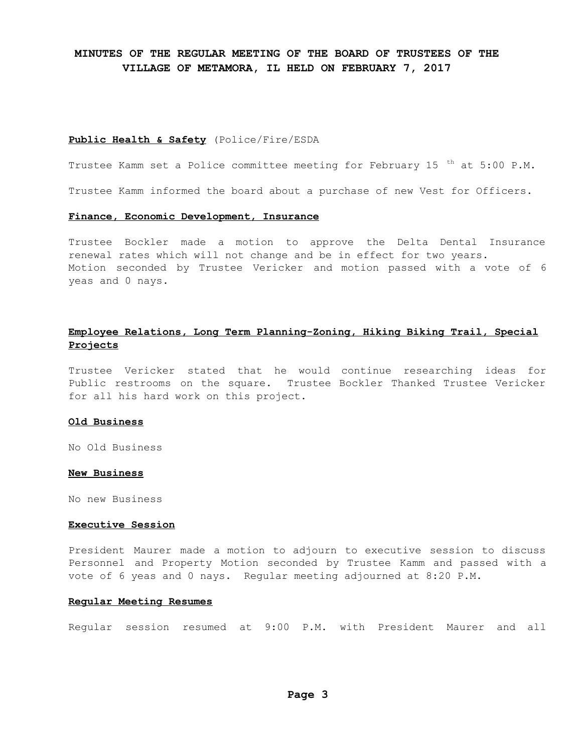#### **Public Health & Safety** (Police/Fire/ESDA

Trustee Kamm set a Police committee meeting for February 15 <sup>th</sup> at 5:00 P.M.

Trustee Kamm informed the board about a purchase of new Vest for Officers.

#### **Finance, Economic Development, Insurance**

Trustee Bockler made a motion to approve the Delta Dental Insurance renewal rates which will not change and be in effect for two years. Motion seconded by Trustee Vericker and motion passed with a vote of 6 yeas and 0 nays.

### **Employee Relations, Long Term Planning-Zoning, Hiking Biking Trail, Special Projects**

Trustee Vericker stated that he would continue researching ideas for Public restrooms on the square. Trustee Bockler Thanked Trustee Vericker for all his hard work on this project.

#### **Old Business**

No Old Business

#### **New Business**

No new Business

### **Executive Session**

President Maurer made a motion to adjourn to executive session to discuss Personnel and Property Motion seconded by Trustee Kamm and passed with a vote of 6 yeas and 0 nays. Regular meeting adjourned at 8:20 P.M.

#### **Regular Meeting Resumes**

Regular session resumed at 9:00 P.M. with President Maurer and all